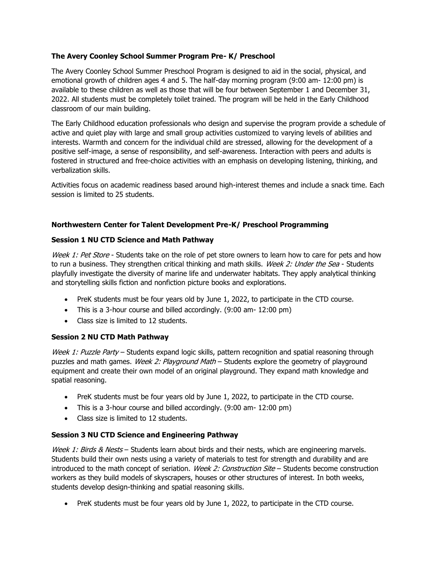## **The Avery Coonley School Summer Program Pre- K/ Preschool**

The Avery Coonley School Summer Preschool Program is designed to aid in the social, physical, and emotional growth of children ages 4 and 5. The half-day morning program (9:00 am- 12:00 pm) is available to these children as well as those that will be four between September 1 and December 31, 2022. All students must be completely toilet trained. The program will be held in the Early Childhood classroom of our main building.

The Early Childhood education professionals who design and supervise the program provide a schedule of active and quiet play with large and small group activities customized to varying levels of abilities and interests. Warmth and concern for the individual child are stressed, allowing for the development of a positive self-image, a sense of responsibility, and self-awareness. Interaction with peers and adults is fostered in structured and free-choice activities with an emphasis on developing listening, thinking, and verbalization skills.

Activities focus on academic readiness based around high-interest themes and include a snack time. Each session is limited to 25 students.

### **Northwestern Center for Talent Development Pre-K/ Preschool Programming**

### **Session 1 NU CTD Science and Math Pathway**

Week 1: Pet Store - Students take on the role of pet store owners to learn how to care for pets and how to run a business. They strengthen critical thinking and math skills. Week 2: Under the Sea - Students playfully investigate the diversity of marine life and underwater habitats. They apply analytical thinking and storytelling skills fiction and nonfiction picture books and explorations.

- PreK students must be four years old by June 1, 2022, to participate in the CTD course.
- This is a 3-hour course and billed accordingly. (9:00 am- 12:00 pm)
- Class size is limited to 12 students.

#### **Session 2 NU CTD Math Pathway**

Week 1: Puzzle Party – Students expand logic skills, pattern recognition and spatial reasoning through puzzles and math games. Week 2: Playground Math - Students explore the geometry of playground equipment and create their own model of an original playground. They expand math knowledge and spatial reasoning.

- PreK students must be four years old by June 1, 2022, to participate in the CTD course.
- This is a 3-hour course and billed accordingly. (9:00 am- 12:00 pm)
- Class size is limited to 12 students.

# **Session 3 NU CTD Science and Engineering Pathway**

Week 1: Birds & Nests – Students learn about birds and their nests, which are engineering marvels. Students build their own nests using a variety of materials to test for strength and durability and are introduced to the math concept of seriation. Week 2: Construction Site  $-$  Students become construction workers as they build models of skyscrapers, houses or other structures of interest. In both weeks, students develop design-thinking and spatial reasoning skills.

• PreK students must be four years old by June 1, 2022, to participate in the CTD course.